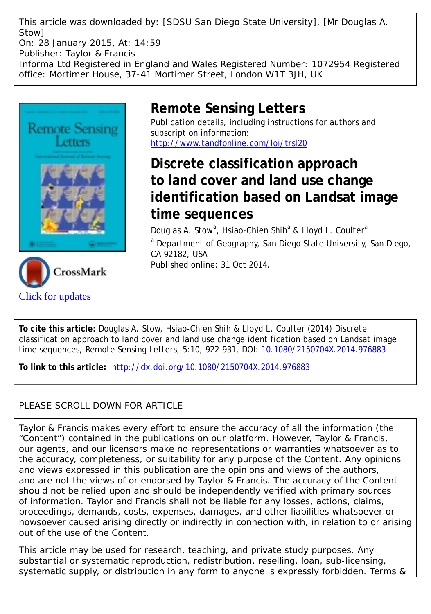This article was downloaded by: [SDSU San Diego State University], [Mr Douglas A. Stow] On: 28 January 2015, At: 14:59 Publisher: Taylor & Francis Informa Ltd Registered in England and Wales Registered Number: 1072954 Registered office: Mortimer House, 37-41 Mortimer Street, London W1T 3JH, UK





## **Remote Sensing Letters**

Publication details, including instructions for authors and subscription information: <http://www.tandfonline.com/loi/trsl20>

# **Discrete classification approach to land cover and land use change identification based on Landsat image time sequences**

Douglas A. Stow<sup>a</sup>, Hsiao-Chien Shih<sup>a</sup> & Lloyd L. Coulter<sup>a</sup> <sup>a</sup> Department of Geography, San Diego State University, San Diego, CA 92182, USA Published online: 31 Oct 2014.

**To cite this article:** Douglas A. Stow, Hsiao-Chien Shih & Lloyd L. Coulter (2014) Discrete classification approach to land cover and land use change identification based on Landsat image time sequences, Remote Sensing Letters, 5:10, 922-931, DOI: [10.1080/2150704X.2014.976883](http://www.tandfonline.com/action/showCitFormats?doi=10.1080/2150704X.2014.976883)

**To link to this article:** <http://dx.doi.org/10.1080/2150704X.2014.976883>

### PLEASE SCROLL DOWN FOR ARTICLE

Taylor & Francis makes every effort to ensure the accuracy of all the information (the "Content") contained in the publications on our platform. However, Taylor & Francis, our agents, and our licensors make no representations or warranties whatsoever as to the accuracy, completeness, or suitability for any purpose of the Content. Any opinions and views expressed in this publication are the opinions and views of the authors, and are not the views of or endorsed by Taylor & Francis. The accuracy of the Content should not be relied upon and should be independently verified with primary sources of information. Taylor and Francis shall not be liable for any losses, actions, claims, proceedings, demands, costs, expenses, damages, and other liabilities whatsoever or howsoever caused arising directly or indirectly in connection with, in relation to or arising out of the use of the Content.

This article may be used for research, teaching, and private study purposes. Any substantial or systematic reproduction, redistribution, reselling, loan, sub-licensing, systematic supply, or distribution in any form to anyone is expressly forbidden. Terms &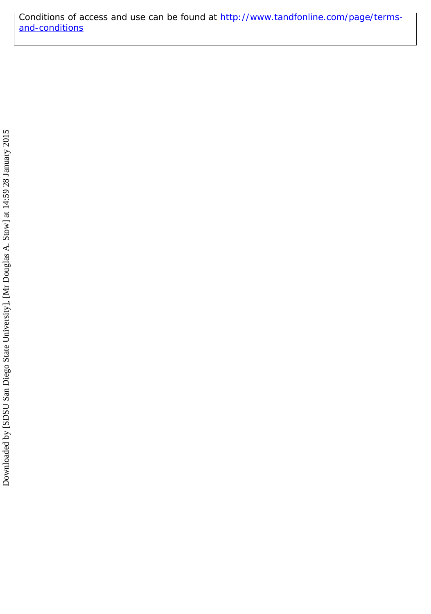Conditions of access and use can be found at [http://www.tandfonline.com/page/terms](http://www.tandfonline.com/page/terms-and-conditions)[and-conditions](http://www.tandfonline.com/page/terms-and-conditions)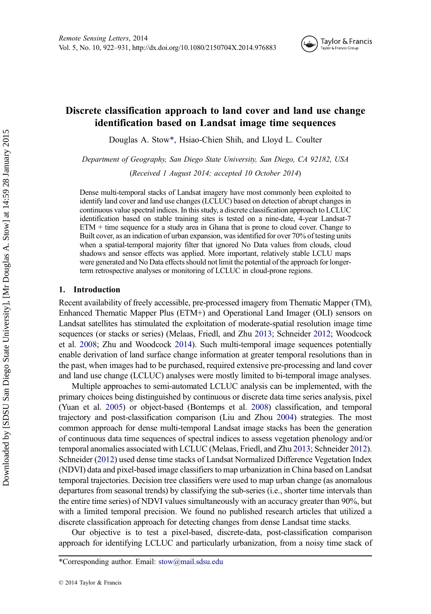

### Discrete classification approach to land cover and land use change identification based on Landsat image time sequences

Douglas A. Stow\*, Hsiao-Chien Shih, and Lloyd L. Coulter

Department of Geography, San Diego State University, San Diego, CA 92182, USA

(Received 1 August 2014; accepted 10 October 2014)

Dense multi-temporal stacks of Landsat imagery have most commonly been exploited to identify land cover and land use changes (LCLUC) based on detection of abrupt changes in continuous value spectral indices. In this study, a discrete classification approach to LCLUC identification based on stable training sites is tested on a nine-date, 4-year Landsat-7 ETM + time sequence for a study area in Ghana that is prone to cloud cover. Change to Built cover, as an indication of urban expansion, was identified for over 70% of testing units when a spatial-temporal majority filter that ignored No Data values from clouds, cloud shadows and sensor effects was applied. More important, relatively stable LCLU maps were generated and No Data effects should not limit the potential of the approach for longerterm retrospective analyses or monitoring of LCLUC in cloud-prone regions.

#### 1. Introduction

Recent availability of freely accessible, pre-processed imagery from Thematic Mapper (TM), Enhanced Thematic Mapper Plus (ETM+) and Operational Land Imager (OLI) sensors on Landsat satellites has stimulated the exploitation of moderate-spatial resolution image time sequences (or stacks or series) (Melaas, Friedl, and Zhu [2013](#page-11-0); Schneider [2012](#page-11-0); Woodcock et al. [2008;](#page-11-0) Zhu and Woodcock [2014\)](#page-11-0). Such multi-temporal image sequences potentially enable derivation of land surface change information at greater temporal resolutions than in the past, when images had to be purchased, required extensive pre-processing and land cover and land use change (LCLUC) analyses were mostly limited to bi-temporal image analyses.

Multiple approaches to semi-automated LCLUC analysis can be implemented, with the primary choices being distinguished by continuous or discrete data time series analysis, pixel (Yuan et al. [2005](#page-11-0)) or object-based (Bontemps et al. [2008](#page-11-0)) classification, and temporal trajectory and post-classification comparison (Liu and Zhou [2004](#page-11-0)) strategies. The most common approach for dense multi-temporal Landsat image stacks has been the generation of continuous data time sequences of spectral indices to assess vegetation phenology and/or temporal anomalies associated with LCLUC (Melaas, Friedl, and Zhu [2013;](#page-11-0) Schneider [2012](#page-11-0)). Schneider [\(2012\)](#page-11-0) used dense time stacks of Landsat Normalized Difference Vegetation Index (NDVI) data and pixel-based image classifiers to map urbanization in China based on Landsat temporal trajectories. Decision tree classifiers were used to map urban change (as anomalous departures from seasonal trends) by classifying the sub-series (i.e., shorter time intervals than the entire time series) of NDVI values simultaneously with an accuracy greater than 90%, but with a limited temporal precision. We found no published research articles that utilized a discrete classification approach for detecting changes from dense Landsat time stacks.

Our objective is to test a pixel-based, discrete-data, post-classification comparison approach for identifying LCLUC and particularly urbanization, from a noisy time stack of

<sup>\*</sup>Corresponding author. Email: stow@mail.sdsu.edu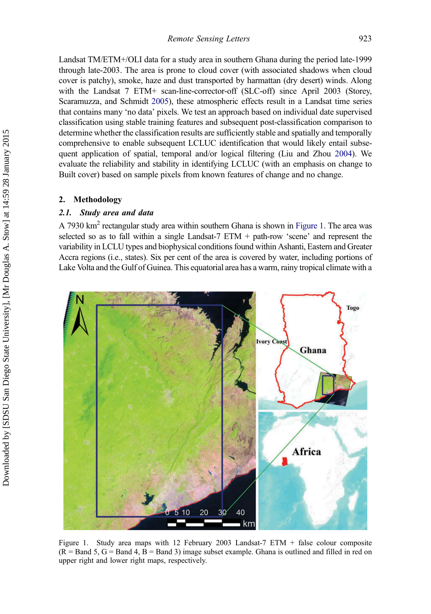Landsat TM/ETM+/OLI data for a study area in southern Ghana during the period late-1999 through late-2003. The area is prone to cloud cover (with associated shadows when cloud cover is patchy), smoke, haze and dust transported by harmattan (dry desert) winds. Along with the Landsat 7 ETM+ scan-line-corrector-off (SLC-off) since April 2003 (Storey, Scaramuzza, and Schmidt [2005](#page-11-0)), these atmospheric effects result in a Landsat time series that contains many 'no data' pixels. We test an approach based on individual date supervised classification using stable training features and subsequent post-classification comparison to determine whether the classification results are sufficiently stable and spatially and temporally comprehensive to enable subsequent LCLUC identification that would likely entail subsequent application of spatial, temporal and/or logical filtering (Liu and Zhou [2004](#page-11-0)). We evaluate the reliability and stability in identifying LCLUC (with an emphasis on change to Built cover) based on sample pixels from known features of change and no change.

#### 2. Methodology

#### 2.1. Study area and data

A 7930 km<sup>2</sup> rectangular study area within southern Ghana is shown in Figure 1. The area was selected so as to fall within a single Landsat-7 ETM + path-row 'scene' and represent the variability in LCLU types and biophysical conditions found within Ashanti, Eastern and Greater Accra regions (i.e., states). Six per cent of the area is covered by water, including portions of Lake Volta and the Gulf of Guinea. This equatorial area has a warm, rainy tropical climate with a



Figure 1. Study area maps with 12 February 2003 Landsat-7 ETM + false colour composite  $(R = Band 5, G = Band 4, B = Band 3)$  image subset example. Ghana is outlined and filled in red on upper right and lower right maps, respectively.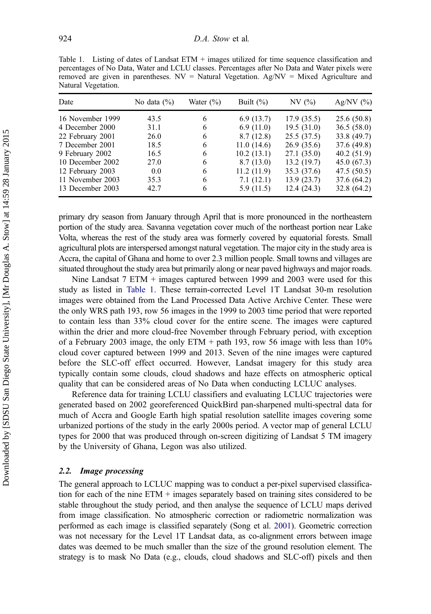<span id="page-4-0"></span>Table 1. Listing of dates of Landsat ETM + images utilized for time sequence classification and percentages of No Data, Water and LCLU classes. Percentages after No Data and Water pixels were removed are given in parentheses.  $NV =$  Natural Vegetation. Ag/ $NV =$  Mixed Agriculture and Natural Vegetation.

| Date             | No data $(\% )$ | Water $(\% )$ | Built $(\% )$ | NV(%)       | Ag/NV $(%)$ |
|------------------|-----------------|---------------|---------------|-------------|-------------|
| 16 November 1999 | 43.5            | 6             | 6.9(13.7)     | 17.9(35.5)  | 25.6 (50.8) |
| 4 December 2000  | 31.1            | 6             | 6.9(11.0)     | 19.5(31.0)  | 36.5(58.0)  |
| 22 February 2001 | 26.0            | 6             | 8.7(12.8)     | 25.5(37.5)  | 33.8 (49.7) |
| 7 December 2001  | 18.5            | 6             | 11.0(14.6)    | 26.9(35.6)  | 37.6 (49.8) |
| 9 February 2002  | 16.5            | 6             | 10.2(13.1)    | 27.1(35.0)  | 40.2(51.9)  |
| 10 December 2002 | 27.0            | 6             | 8.7(13.0)     | 13.2(19.7)  | 45.0(67.3)  |
| 12 February 2003 | 0.0             | 6             | 11.2(11.9)    | 35.3 (37.6) | 47.5 (50.5) |
| 11 November 2003 | 35.3            | 6             | 7.1(12.1)     | 13.9(23.7)  | 37.6 (64.2) |
| 13 December 2003 | 42.7            | 6             | 5.9 (11.5)    | 12.4 (24.3) | 32.8 (64.2) |

primary dry season from January through April that is more pronounced in the northeastern portion of the study area. Savanna vegetation cover much of the northeast portion near Lake Volta, whereas the rest of the study area was formerly covered by equatorial forests. Small agricultural plots are interspersed amongst natural vegetation. The major city in the study area is Accra, the capital of Ghana and home to over 2.3 million people. Small towns and villages are situated throughout the study area but primarily along or near paved highways and major roads.

Nine Landsat 7 ETM + images captured between 1999 and 2003 were used for this study as listed in Table 1. These terrain-corrected Level 1T Landsat 30-m resolution images were obtained from the Land Processed Data Active Archive Center. These were the only WRS path 193, row 56 images in the 1999 to 2003 time period that were reported to contain less than 33% cloud cover for the entire scene. The images were captured within the drier and more cloud-free November through February period, with exception of a February 2003 image, the only ETM + path 193, row 56 image with less than  $10\%$ cloud cover captured between 1999 and 2013. Seven of the nine images were captured before the SLC-off effect occurred. However, Landsat imagery for this study area typically contain some clouds, cloud shadows and haze effects on atmospheric optical quality that can be considered areas of No Data when conducting LCLUC analyses.

Reference data for training LCLU classifiers and evaluating LCLUC trajectories were generated based on 2002 georeferenced QuickBird pan-sharpened multi-spectral data for much of Accra and Google Earth high spatial resolution satellite images covering some urbanized portions of the study in the early 2000s period. A vector map of general LCLU types for 2000 that was produced through on-screen digitizing of Landsat 5 TM imagery by the University of Ghana, Legon was also utilized.

#### 2.2. Image processing

The general approach to LCLUC mapping was to conduct a per-pixel supervised classification for each of the nine ETM + images separately based on training sites considered to be stable throughout the study period, and then analyse the sequence of LCLU maps derived from image classification. No atmospheric correction or radiometric normalization was performed as each image is classified separately (Song et al. [2001](#page-11-0)). Geometric correction was not necessary for the Level 1T Landsat data, as co-alignment errors between image dates was deemed to be much smaller than the size of the ground resolution element. The strategy is to mask No Data (e.g., clouds, cloud shadows and SLC-off) pixels and then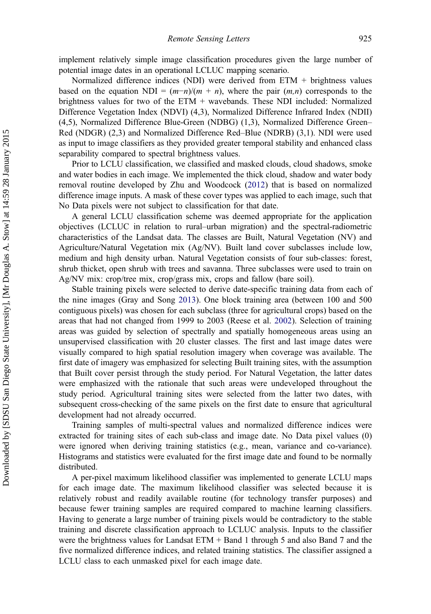implement relatively simple image classification procedures given the large number of potential image dates in an operational LCLUC mapping scenario.

Normalized difference indices (NDI) were derived from ETM + brightness values based on the equation NDI =  $(m-n)/(m + n)$ , where the pair  $(m, n)$  corresponds to the brightness values for two of the ETM + wavebands. These NDI included: Normalized Difference Vegetation Index (NDVI) (4,3), Normalized Difference Infrared Index (NDII) (4,5), Normalized Difference Blue-Green (NDBG) (1,3), Normalized Difference Green– Red (NDGR) (2,3) and Normalized Difference Red–Blue (NDRB) (3,1). NDI were used as input to image classifiers as they provided greater temporal stability and enhanced class separability compared to spectral brightness values.

Prior to LCLU classification, we classified and masked clouds, cloud shadows, smoke and water bodies in each image. We implemented the thick cloud, shadow and water body removal routine developed by Zhu and Woodcock ([2012\)](#page-11-0) that is based on normalized difference image inputs. A mask of these cover types was applied to each image, such that No Data pixels were not subject to classification for that date.

A general LCLU classification scheme was deemed appropriate for the application objectives (LCLUC in relation to rural–urban migration) and the spectral-radiometric characteristics of the Landsat data. The classes are Built, Natural Vegetation (NV) and Agriculture/Natural Vegetation mix (Ag/NV). Built land cover subclasses include low, medium and high density urban. Natural Vegetation consists of four sub-classes: forest, shrub thicket, open shrub with trees and savanna. Three subclasses were used to train on Ag/NV mix: crop/tree mix, crop/grass mix, crops and fallow (bare soil).

Stable training pixels were selected to derive date-specific training data from each of the nine images (Gray and Song [2013](#page-11-0)). One block training area (between 100 and 500 contiguous pixels) was chosen for each subclass (three for agricultural crops) based on the areas that had not changed from 1999 to 2003 (Reese et al. [2002](#page-11-0)). Selection of training areas was guided by selection of spectrally and spatially homogeneous areas using an unsupervised classification with 20 cluster classes. The first and last image dates were visually compared to high spatial resolution imagery when coverage was available. The first date of imagery was emphasized for selecting Built training sites, with the assumption that Built cover persist through the study period. For Natural Vegetation, the latter dates were emphasized with the rationale that such areas were undeveloped throughout the study period. Agricultural training sites were selected from the latter two dates, with subsequent cross-checking of the same pixels on the first date to ensure that agricultural development had not already occurred.

Training samples of multi-spectral values and normalized difference indices were extracted for training sites of each sub-class and image date. No Data pixel values (0) were ignored when deriving training statistics (e.g., mean, variance and co-variance). Histograms and statistics were evaluated for the first image date and found to be normally distributed.

A per-pixel maximum likelihood classifier was implemented to generate LCLU maps for each image date. The maximum likelihood classifier was selected because it is relatively robust and readily available routine (for technology transfer purposes) and because fewer training samples are required compared to machine learning classifiers. Having to generate a large number of training pixels would be contradictory to the stable training and discrete classification approach to LCLUC analysis. Inputs to the classifier were the brightness values for Landsat ETM + Band 1 through 5 and also Band 7 and the five normalized difference indices, and related training statistics. The classifier assigned a LCLU class to each unmasked pixel for each image date.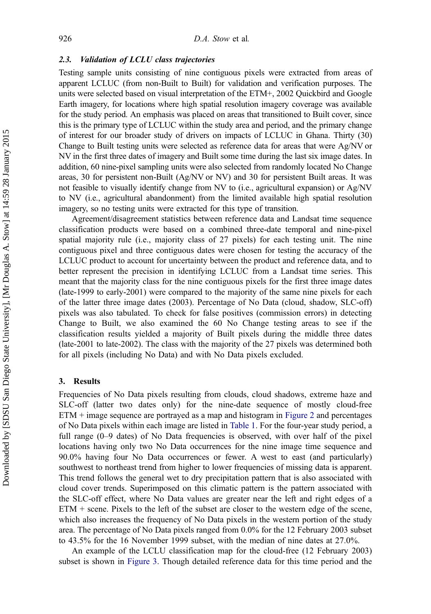#### 2.3. Validation of LCLU class trajectories

Testing sample units consisting of nine contiguous pixels were extracted from areas of apparent LCLUC (from non-Built to Built) for validation and verification purposes. The units were selected based on visual interpretation of the ETM+, 2002 Quickbird and Google Earth imagery, for locations where high spatial resolution imagery coverage was available for the study period. An emphasis was placed on areas that transitioned to Built cover, since this is the primary type of LCLUC within the study area and period, and the primary change of interest for our broader study of drivers on impacts of LCLUC in Ghana. Thirty (30) Change to Built testing units were selected as reference data for areas that were Ag/NV or NV in the first three dates of imagery and Built some time during the last six image dates. In addition, 60 nine-pixel sampling units were also selected from randomly located No Change areas, 30 for persistent non-Built (Ag/NV or NV) and 30 for persistent Built areas. It was not feasible to visually identify change from NV to (i.e., agricultural expansion) or Ag/NV to NV (i.e., agricultural abandonment) from the limited available high spatial resolution imagery, so no testing units were extracted for this type of transition.

Agreement/disagreement statistics between reference data and Landsat time sequence classification products were based on a combined three-date temporal and nine-pixel spatial majority rule (i.e., majority class of 27 pixels) for each testing unit. The nine contiguous pixel and three contiguous dates were chosen for testing the accuracy of the LCLUC product to account for uncertainty between the product and reference data, and to better represent the precision in identifying LCLUC from a Landsat time series. This meant that the majority class for the nine contiguous pixels for the first three image dates (late-1999 to early-2001) were compared to the majority of the same nine pixels for each of the latter three image dates (2003). Percentage of No Data (cloud, shadow, SLC-off) pixels was also tabulated. To check for false positives (commission errors) in detecting Change to Built, we also examined the 60 No Change testing areas to see if the classification results yielded a majority of Built pixels during the middle three dates (late-2001 to late-2002). The class with the majority of the 27 pixels was determined both for all pixels (including No Data) and with No Data pixels excluded.

#### 3. Results

Frequencies of No Data pixels resulting from clouds, cloud shadows, extreme haze and SLC-off (latter two dates only) for the nine-date sequence of mostly cloud-free ETM + image sequence are portrayed as a map and histogram in [Figure 2](#page-7-0) and percentages of No Data pixels within each image are listed in [Table 1.](#page-4-0) For the four-year study period, a full range (0–9 dates) of No Data frequencies is observed, with over half of the pixel locations having only two No Data occurrences for the nine image time sequence and 90.0% having four No Data occurrences or fewer. A west to east (and particularly) southwest to northeast trend from higher to lower frequencies of missing data is apparent. This trend follows the general wet to dry precipitation pattern that is also associated with cloud cover trends. Superimposed on this climatic pattern is the pattern associated with the SLC-off effect, where No Data values are greater near the left and right edges of a  $ETM + scene$ . Pixels to the left of the subset are closer to the western edge of the scene, which also increases the frequency of No Data pixels in the western portion of the study area. The percentage of No Data pixels ranged from 0.0% for the 12 February 2003 subset to 43.5% for the 16 November 1999 subset, with the median of nine dates at 27.0%.

An example of the LCLU classification map for the cloud-free (12 February 2003) subset is shown in [Figure 3.](#page-8-0) Though detailed reference data for this time period and the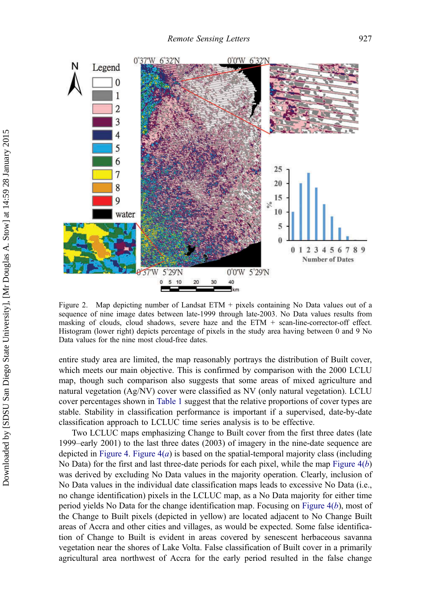<span id="page-7-0"></span>

Figure 2. Map depicting number of Landsat ETM + pixels containing No Data values out of a sequence of nine image dates between late-1999 through late-2003. No Data values results from masking of clouds, cloud shadows, severe haze and the  $ETM + scan$ -line-corrector-off effect. Histogram (lower right) depicts percentage of pixels in the study area having between 0 and 9 No Data values for the nine most cloud-free dates.

entire study area are limited, the map reasonably portrays the distribution of Built cover, which meets our main objective. This is confirmed by comparison with the 2000 LCLU map, though such comparison also suggests that some areas of mixed agriculture and natural vegetation (Ag/NV) cover were classified as NV (only natural vegetation). LCLU cover percentages shown in [Table 1](#page-4-0) suggest that the relative proportions of cover types are stable. Stability in classification performance is important if a supervised, date-by-date classification approach to LCLUC time series analysis is to be effective.

Two LCLUC maps emphasizing Change to Built cover from the first three dates (late 1999–early 2001) to the last three dates (2003) of imagery in the nine-date sequence are depicted in [Figure 4](#page-9-0). Figure  $4(a)$  is based on the spatial-temporal majority class (including No Data) for the first and last three-date periods for each pixel, while the map Figure  $4(b)$ was derived by excluding No Data values in the majority operation. Clearly, inclusion of No Data values in the individual date classification maps leads to excessive No Data (i.e., no change identification) pixels in the LCLUC map, as a No Data majority for either time period yields No Data for the change identification map. Focusing on Figure  $4(b)$ , most of the Change to Built pixels (depicted in yellow) are located adjacent to No Change Built areas of Accra and other cities and villages, as would be expected. Some false identification of Change to Built is evident in areas covered by senescent herbaceous savanna vegetation near the shores of Lake Volta. False classification of Built cover in a primarily agricultural area northwest of Accra for the early period resulted in the false change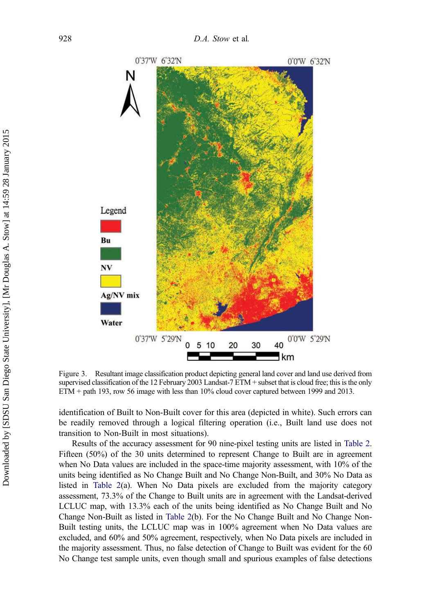<span id="page-8-0"></span>

Figure 3. Resultant image classification product depicting general land cover and land use derived from supervised classification of the 12 February 2003 Landsat-7 ETM + subset that is cloud free; this is the only ETM + path 193, row 56 image with less than 10% cloud cover captured between 1999 and 2013.

identification of Built to Non-Built cover for this area (depicted in white). Such errors can be readily removed through a logical filtering operation (i.e., Built land use does not transition to Non-Built in most situations).

Results of the accuracy assessment for 90 nine-pixel testing units are listed in [Table 2](#page-9-0). Fifteen (50%) of the 30 units determined to represent Change to Built are in agreement when No Data values are included in the space-time majority assessment, with 10% of the units being identified as No Change Built and No Change Non-Built, and 30% No Data as listed in [Table 2](#page-9-0)(a). When No Data pixels are excluded from the majority category assessment, 73.3% of the Change to Built units are in agreement with the Landsat-derived LCLUC map, with 13.3% each of the units being identified as No Change Built and No Change Non-Built as listed in [Table 2](#page-9-0)(b). For the No Change Built and No Change Non-Built testing units, the LCLUC map was in 100% agreement when No Data values are excluded, and 60% and 50% agreement, respectively, when No Data pixels are included in the majority assessment. Thus, no false detection of Change to Built was evident for the 60 No Change test sample units, even though small and spurious examples of false detections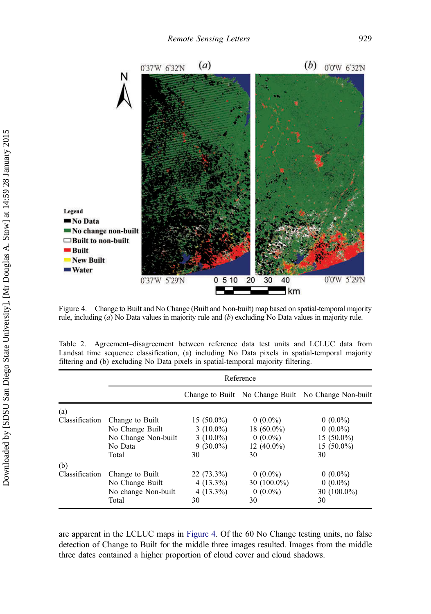<span id="page-9-0"></span>

Figure 4. Change to Built and No Change (Built and Non-built) map based on spatial-temporal majority rule, including (a) No Data values in majority rule and (b) excluding No Data values in majority rule.

|  | Table 2. Agreement-disagreement between reference data test units and LCLUC data from           |  |  |  |  |  |
|--|-------------------------------------------------------------------------------------------------|--|--|--|--|--|
|  | Landsat time sequence classification, (a) including No Data pixels in spatial-temporal majority |  |  |  |  |  |
|  | filtering and (b) excluding No Data pixels in spatial-temporal majority filtering.              |  |  |  |  |  |

|                | Reference           |              |                |                                                     |  |
|----------------|---------------------|--------------|----------------|-----------------------------------------------------|--|
|                |                     |              |                | Change to Built No Change Built No Change Non-built |  |
| (a)            |                     |              |                |                                                     |  |
| Classification | Change to Built     | $15(50.0\%)$ | $0(0.0\%)$     | $0(0.0\%)$                                          |  |
|                | No Change Built     | $3(10.0\%)$  | 18 $(60.0\%)$  | $0(0.0\%)$                                          |  |
|                | No Change Non-built | $3(10.0\%)$  | $0(0.0\%)$     | $15(50.0\%)$                                        |  |
|                | No Data             | $9(30.0\%)$  | 12 $(40.0\%)$  | $15(50.0\%)$                                        |  |
|                | Total               | 30           | 30             | 30                                                  |  |
| (b)            |                     |              |                |                                                     |  |
| Classification | Change to Built     | $22(73.3\%)$ | $0(0.0\%)$     | $0(0.0\%)$                                          |  |
|                | No Change Built     | $4(13.3\%)$  | 30 $(100.0\%)$ | $0(0.0\%)$                                          |  |
|                | No change Non-built | $4(13.3\%)$  | $0(0.0\%)$     | 30 $(100.0\%)$                                      |  |
|                | Total               | 30           | 30             | 30                                                  |  |

are apparent in the LCLUC maps in Figure 4. Of the 60 No Change testing units, no false detection of Change to Built for the middle three images resulted. Images from the middle three dates contained a higher proportion of cloud cover and cloud shadows.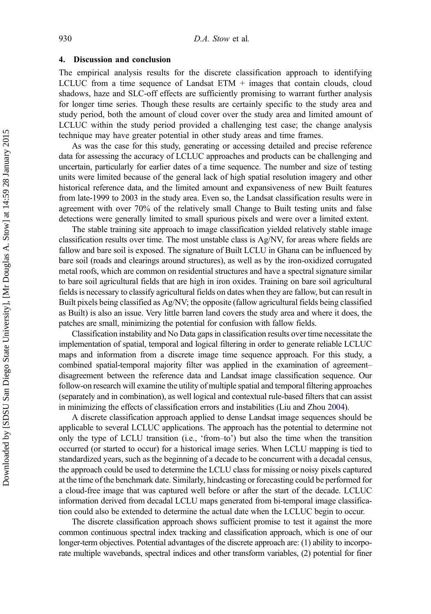#### 4. Discussion and conclusion

The empirical analysis results for the discrete classification approach to identifying LCLUC from a time sequence of Landsat  $ETM +$  images that contain clouds, cloud shadows, haze and SLC-off effects are sufficiently promising to warrant further analysis for longer time series. Though these results are certainly specific to the study area and study period, both the amount of cloud cover over the study area and limited amount of LCLUC within the study period provided a challenging test case; the change analysis technique may have greater potential in other study areas and time frames.

As was the case for this study, generating or accessing detailed and precise reference data for assessing the accuracy of LCLUC approaches and products can be challenging and uncertain, particularly for earlier dates of a time sequence. The number and size of testing units were limited because of the general lack of high spatial resolution imagery and other historical reference data, and the limited amount and expansiveness of new Built features from late-1999 to 2003 in the study area. Even so, the Landsat classification results were in agreement with over 70% of the relatively small Change to Built testing units and false detections were generally limited to small spurious pixels and were over a limited extent.

The stable training site approach to image classification yielded relatively stable image classification results over time. The most unstable class is Ag/NV, for areas where fields are fallow and bare soil is exposed. The signature of Built LCLU in Ghana can be influenced by bare soil (roads and clearings around structures), as well as by the iron-oxidized corrugated metal roofs, which are common on residential structures and have a spectral signature similar to bare soil agricultural fields that are high in iron oxides. Training on bare soil agricultural fields is necessary to classify agricultural fields on dates when they are fallow, but can result in Built pixels being classified as Ag/NV; the opposite (fallow agricultural fields being classified as Built) is also an issue. Very little barren land covers the study area and where it does, the patches are small, minimizing the potential for confusion with fallow fields.

Classification instability and No Data gaps in classification results over time necessitate the implementation of spatial, temporal and logical filtering in order to generate reliable LCLUC maps and information from a discrete image time sequence approach. For this study, a combined spatial-temporal majority filter was applied in the examination of agreement– disagreement between the reference data and Landsat image classification sequence. Our follow-on research will examine the utility of multiple spatial and temporal filtering approaches (separately and in combination), as well logical and contextual rule-based filters that can assist in minimizing the effects of classification errors and instabilities (Liu and Zhou [2004\)](#page-11-0).

A discrete classification approach applied to dense Landsat image sequences should be applicable to several LCLUC applications. The approach has the potential to determine not only the type of LCLU transition (i.e., 'from–to') but also the time when the transition occurred (or started to occur) for a historical image series. When LCLU mapping is tied to standardized years, such as the beginning of a decade to be concurrent with a decadal census, the approach could be used to determine the LCLU class for missing or noisy pixels captured at the time of the benchmark date. Similarly, hindcasting or forecasting could be performed for a cloud-free image that was captured well before or after the start of the decade. LCLUC information derived from decadal LCLU maps generated from bi-temporal image classification could also be extended to determine the actual date when the LCLUC begin to occur.

The discrete classification approach shows sufficient promise to test it against the more common continuous spectral index tracking and classification approach, which is one of our longer-term objectives. Potential advantages of the discrete approach are: (1) ability to incorporate multiple wavebands, spectral indices and other transform variables, (2) potential for finer